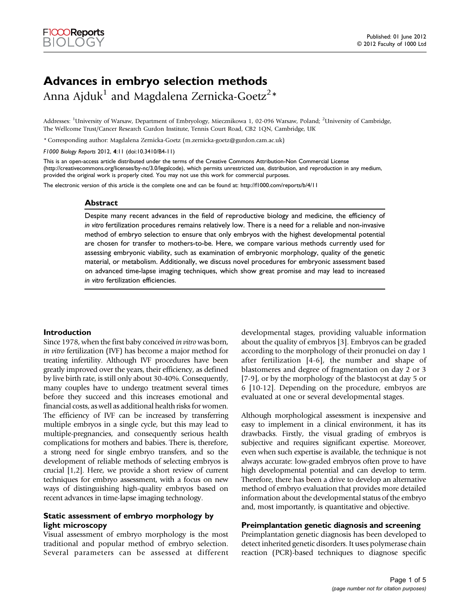# Advances in embryo selection methods

Anna Ajduk $^1$  and Magdalena Zernicka-Goetz $^2\mathrm{\ast}$ 

Addresses: <sup>1</sup>University of Warsaw, Department of Embryology, Miecznikowa 1, 02-096 Warsaw, Poland; <sup>2</sup>University of Cambridge, The Wellcome Trust/Cancer Research Gurdon Institute, Tennis Court Road, CB2 1QN, Cambridge, UK

\* Corresponding author: Magdalena Zernicka-Goetz [\(m.zernicka-goetz@gurdon.cam.ac.uk\)](mailto:m.zernicka-goetz@gurdon.cam.ac.uk)

F1000 Biology Reports 2012, 4:11 (doi:10.3410/B4-11)

This is an open-access article distributed under the terms of the Creative Commons Attribution-Non Commercial License [\(http://creativecommons.org/licenses/by-nc/3.0/legalcode\)](http://creativecommons.org/licenses/by-nc/3.0/legalcode), which permits unrestricted use, distribution, and reproduction in any medium, provided the original work is properly cited. You may not use this work for commercial purposes.

The electronic version of this article is the complete one and can be found at:<http://f1000.com/reports/b/4/11>

#### Abstract

Despite many recent advances in the field of reproductive biology and medicine, the efficiency of in vitro fertilization procedures remains relatively low. There is a need for a reliable and non-invasive method of embryo selection to ensure that only embryos with the highest developmental potential are chosen for transfer to mothers-to-be. Here, we compare various methods currently used for assessing embryonic viability, such as examination of embryonic morphology, quality of the genetic material, or metabolism. Additionally, we discuss novel procedures for embryonic assessment based on advanced time-lapse imaging techniques, which show great promise and may lead to increased in vitro fertilization efficiencies.

## Introduction

Since 1978, when the first baby conceived in vitro was born, in vitro fertilization (IVF) has become a major method for treating infertility. Although IVF procedures have been greatly improved over the years, their efficiency, as defined by live birth rate, is still only about 30-40%. Consequently, many couples have to undergo treatment several times before they succeed and this increases emotional and financial costs, as well as additional health risks for women. The efficiency of IVF can be increased by transferring multiple embryos in a single cycle, but this may lead to multiple-pregnancies, and consequently serious health complications for mothers and babies. There is, therefore, a strong need for single embryo transfers, and so the development of reliable methods of selecting embryos is crucial [\[1](#page-3-0),[2](#page-3-0)]. Here, we provide a short review of current techniques for embryo assessment, with a focus on new ways of distinguishing high-quality embryos based on recent advances in time-lapse imaging technology.

# Static assessment of embryo morphology by light microscopy

Visual assessment of embryo morphology is the most traditional and popular method of embryo selection. Several parameters can be assessed at different developmental stages, providing valuable information about the quality of embryos [\[3\]](#page-3-0). Embryos can be graded according to the morphology of their pronuclei on day 1 after fertilization [[4-6](#page-3-0)], the number and shape of blastomeres and degree of fragmentation on day 2 or 3 [\[7-9](#page-3-0)], or by the morphology of the blastocyst at day 5 or 6 [\[10-12](#page-3-0)]. Depending on the procedure, embryos are evaluated at one or several developmental stages.

Although morphological assessment is inexpensive and easy to implement in a clinical environment, it has its drawbacks. Firstly, the visual grading of embryos is subjective and requires significant expertise. Moreover, even when such expertise is available, the technique is not always accurate: low-graded embryos often prove to have high developmental potential and can develop to term. Therefore, there has been a drive to develop an alternative method of embryo evaluation that provides more detailed information about the developmental status of the embryo and, most importantly, is quantitative and objective.

# Preimplantation genetic diagnosis and screening

Preimplantation genetic diagnosis has been developed to detect inherited genetic disorders. It uses polymerase chain reaction (PCR)-based techniques to diagnose specific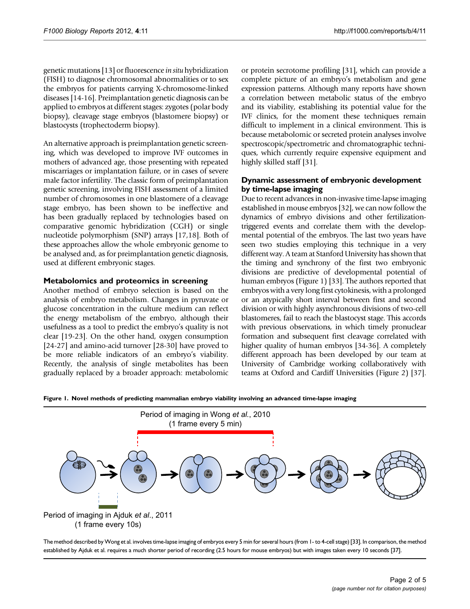<span id="page-1-0"></span>genetic mutations [[13\]](#page-3-0) or fluorescence in situ hybridization (FISH) to diagnose chromosomal abnormalities or to sex the embryos for patients carrying X-chromosome-linked diseases [\[14](#page-3-0)[-16\]](#page-4-0). Preimplantation genetic diagnosis can be applied to embryos at different stages: zygotes (polar body biopsy), cleavage stage embryos (blastomere biopsy) or blastocysts (trophectoderm biopsy).

An alternative approach is preimplantation genetic screening, which was developed to improve IVF outcomes in mothers of advanced age, those presenting with repeated miscarriages or implantation failure, or in cases of severe male factor infertility. The classic form of preimplantation genetic screening, involving FISH assessment of a limited number of chromosomes in one blastomere of a cleavage stage embryo, has been shown to be ineffective and has been gradually replaced by technologies based on comparative genomic hybridization (CGH) or single nucleotide polymorphism (SNP) arrays [\[17,18](#page-4-0)]. Both of these approaches allow the whole embryonic genome to be analysed and, as for preimplantation genetic diagnosis, used at different embryonic stages.

# Metabolomics and proteomics in screening

Another method of embryo selection is based on the analysis of embryo metabolism. Changes in pyruvate or glucose concentration in the culture medium can reflect the energy metabolism of the embryo, although their usefulness as a tool to predict the embryo's quality is not clear [\[19-23](#page-4-0)]. On the other hand, oxygen consumption [\[24-27\]](#page-4-0) and amino-acid turnover [\[28-30\]](#page-4-0) have proved to be more reliable indicators of an embryo's viability. Recently, the analysis of single metabolites has been gradually replaced by a broader approach: metabolomic

or protein secrotome profiling [[31](#page-4-0)], which can provide a complete picture of an embryo's metabolism and gene expression patterns. Although many reports have shown a correlation between metabolic status of the embryo and its viability, establishing its potential value for the IVF clinics, for the moment these techniques remain difficult to implement in a clinical environment. This is because metabolomic or secreted protein analyses involve spectroscopic/spectrometric and chromatographic techniques, which currently require expensive equipment and highly skilled staff [[31](#page-4-0)].

# Dynamic assessment of embryonic development by time-lapse imaging

Due to recent advances in non-invasive time-lapse imaging established in mouse embryos [[32](#page-4-0)], we can now follow the dynamics of embryo divisions and other fertilizationtriggered events and correlate them with the developmental potential of the embryos. The last two years have seen two studies employing this technique in a very different way. A team at Stanford University has shown that the timing and synchrony of the first two embryonic divisions are predictive of developmental potential of human embryos (Figure 1) [\[33\]](#page-4-0). The authors reported that embryos with a very long first cytokinesis, with a prolonged or an atypically short interval between first and second division or with highly asynchronous divisions of two-cell blastomeres, fail to reach the blastocyst stage. This accords with previous observations, in which timely pronuclear formation and subsequent first cleavage correlated with higher quality of human embryos [\[34-36\]](#page-4-0). A completely different approach has been developed by our team at University of Cambridge working collaboratively with teams at Oxford and Cardiff Universities [\(Figure 2](#page-2-0)) [\[37\]](#page-4-0).

Figure 1. Novel methods of predicting mammalian embryo viability involving an advanced time-lapse imaging



The method described byWong et al. involves time-lapse imaging of embryos every 5 min for several hours (from 1- to 4-cell stage) [\[33](#page-4-0)]. In comparison, the method established by Ajduk et al. requires a much shorter period of recording (2.5 hours for mouse embryos) but with images taken every 10 seconds [[37\]](#page-4-0).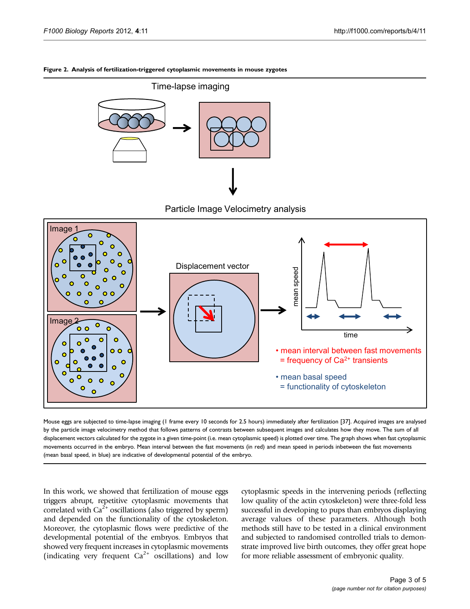### <span id="page-2-0"></span>Figure 2. Analysis of fertilization-triggered cytoplasmic movements in mouse zygotes



Particle Image Velocimetry analysis



Mouse eggs are subjected to time-lapse imaging (1 frame every 10 seconds for 2.5 hours) immediately after fertilization [\[37](#page-4-0)]. Acquired images are analysed by the particle image velocimetry method that follows patterns of contrasts between subsequent images and calculates how they move. The sum of all displacement vectors calculated for the zygote in a given time-point (i.e. mean cytoplasmic speed) is plotted over time. The graph shows when fast cytoplasmic movements occurred in the embryo. Mean interval between the fast movements (in red) and mean speed in periods inbetween the fast movements (mean basal speed, in blue) are indicative of developmental potential of the embryo.

In this work, we showed that fertilization of mouse eggs triggers abrupt, repetitive cytoplasmic movements that correlated with  $Ca^{2+}$  oscillations (also triggered by sperm) and depended on the functionality of the cytoskeleton. Moreover, the cytoplasmic flows were predictive of the developmental potential of the embryos. Embryos that showed very frequent increases in cytoplasmic movements (indicating very frequent  $Ca^{2+}$  oscillations) and low cytoplasmic speeds in the intervening periods (reflecting low quality of the actin cytoskeleton) were three-fold less successful in developing to pups than embryos displaying average values of these parameters. Although both methods still have to be tested in a clinical environment and subjected to randomised controlled trials to demonstrate improved live birth outcomes, they offer great hope for more reliable assessment of embryonic quality.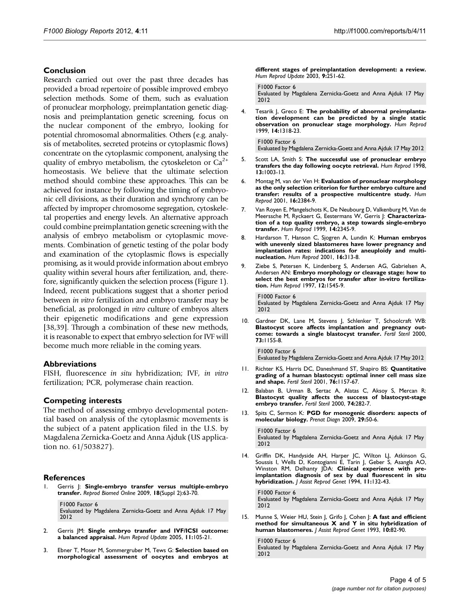### <span id="page-3-0"></span>Conclusion

Research carried out over the past three decades has provided a broad repertoire of possible improved embryo selection methods. Some of them, such as evaluation of pronuclear morphology, preimplantation genetic diagnosis and preimplantation genetic screening, focus on the nuclear component of the embryo, looking for potential chromosomal abnormalities. Others (e.g. analysis of metabolites, secreted proteins or cytoplasmic flows) concentrate on the cytoplasmic component, analysing the quality of embryo metabolism, the cytoskeleton or  $Ca^{2+}$ homeostasis. We believe that the ultimate selection method should combine these approaches. This can be achieved for instance by following the timing of embryonic cell divisions, as their duration and synchrony can be affected by improper chromosome segregation, cytoskeletal properties and energy levels. An alternative approach could combine preimplantation genetic screening with the analysis of embryo metabolism or cytoplasmic movements. Combination of genetic testing of the polar body and examination of the cytoplasmic flows is especially promising, as it would provide information about embryo quality within several hours after fertilization, and, therefore, significantly quicken the selection process ([Figure 1](#page-1-0)). Indeed, recent publications suggest that a shorter period between in vitro fertilization and embryo transfer may be beneficial, as prolonged in vitro culture of embryos alters their epigenetic modifications and gene expression [\[38,39\]](#page-4-0). Through a combination of these new methods, it is reasonable to expect that embryo selection for IVF will become much more reliable in the coming years.

## Abbreviations

FISH, fluorescence in situ hybridization; IVF, in vitro fertilization; PCR, polymerase chain reaction.

#### Competing interests

The method of assessing embryo developmental potential based on analysis of the cytoplasmic movements is the subject of a patent application filed in the U.S. by Magdalena Zernicka-Goetz and Anna Ajduk (US application no. 61/503827).

#### References

Gerris J: Single-embryo transfer versus multiple-embryo transfer. Reprod Biomed Online 2009, 18(Suppl 2):63-70.

[F1000 Factor 6](http://www.f1000.com/715897913) Evaluated by Magdalena Zernicka-Goetz and Anna Ajduk 17 May 2012

- Gerris JM: Single embryo transfer and IVF/ICSI outcome: a balanced appraisal. Hum Reprod Update 2005, 11:105-21.
- 3. Ebner T, Moser M, Sommergruber M, Tews G: Selection based on morphological assessment of oocytes and embryos at

different stages of preimplantation development: a review. Hum Reprod Update 2003, 9:251-62.

[F1000 Factor 6](http://www.f1000.com/715897914) Evaluated by Magdalena Zernicka-Goetz and Anna Ajduk 17 May 2012

4. Tesarik J, Greco E: The probability of abnormal preimplantation development can be predicted by a single static observation on pronuclear stage morphology. Hum Reprod 1999, 14:1318-23.

[F1000 Factor 6](http://www.f1000.com/715897915)

Evaluated by Magdalena Zernicka-Goetz and Anna Ajduk 17 May 2012

- 5. Scott LA, Smith S: The successful use of pronuclear embryo transfers the day following oocyte retrieval. Hum Reprod 1998, 13:1003-13.
- 6. Montag M, van der Ven H: Evaluation of pronuclear morphology as the only selection criterion for further embryo culture and transfer: results of a prospective multicentre study. Hum Reprod 2001, 16:2384-9.
- 7. Van Royen E, Mangelschots K, De Neubourg D, Valkenburg M, Van de Meerssche M, Ryckaert G, Eestermans W, Gerris J: Characterization of a top quality embryo, a step towards single-embryo transfer. Hum Reprod 1999, 14:2345-9.
- Hardarson T, Hanson C, Sjogren A, Lundin K: Human embryos with unevenly sized blastomeres have lower pregnancy and implantation rates: indications for aneuploidy and multinucleation. Hum Reprod 2001, 16:313-8.
- 9. Ziebe S, Petersen K, Lindenberg S, Andersen AG, Gabrielsen A, Andersen AN: Embryo morphology or cleavage stage: how to select the best embryos for transfer after in-vitro fertilization. Hum Reprod 1997, 12:1545-9.

[F1000 Factor 6](http://www.f1000.com/715897916) Evaluated by Magdalena Zernicka-Goetz and Anna Ajduk 17 May 2012

10. Gardner DK, Lane M, Stevens J, Schlenker T, Schoolcraft WB: Blastocyst score affects implantation and pregnancy outcome: towards a single blastocyst transfer. Fertil Steril 2000, 73:1155-8.

[F1000 Factor 6](http://www.f1000.com/715897917) Evaluated by Magdalena Zernicka-Goetz and Anna Ajduk 17 May 2012

- 11. Richter KS, Harris DC, Daneshmand ST, Shapiro BS: Quantitative grading of a human blastocyst: optimal inner cell mass size and shape. Fertil Steril 2001, 76:1157-67.
- 12. Balaban B, Urman B, Sertac A, Alatas C, Aksoy S, Mercan R: Blastocyst quality affects the success of blastocyst-stage embryo transfer. Fertil Steril 2000, 74:282-7.
- 13. Spits C, Sermon K: PGD for monogenic disorders: aspects of molecular biology. Prenat Diagn 2009, 29:50-6.

[F1000 Factor 6](http://www.f1000.com/715897918) Evaluated by Magdalena Zernicka-Goetz and Anna Ajduk 17 May 2012

14. Griffin DK, Handyside AH, Harper JC, Wilton LJ, Atkinson G, Soussis I, Wells D, Kontogianni E, Tarin J, Geber S, Asangla AO, Winston RM, Delhanty JDA: Clinical experience with preimplantation diagnosis of sex by dual fluorescent in situ hybridization. J Assist Reprod Genet 1994, 11:132-43.

[F1000 Factor 6](http://www.f1000.com/715897919) Evaluated by Magdalena Zernicka-Goetz and Anna Ajduk 17 May 2012

15. Munne S, Weier HU, Stein J, Grifo J, Cohen J: A fast and efficient method for simultaneous X and Y in situ hybridization of human blastomeres. | Assist Reprod Genet 1993, 10:82-90.

[F1000 Factor 6](http://www.f1000.com/715897920) Evaluated by Magdalena Zernicka-Goetz and Anna Ajduk 17 May 2012